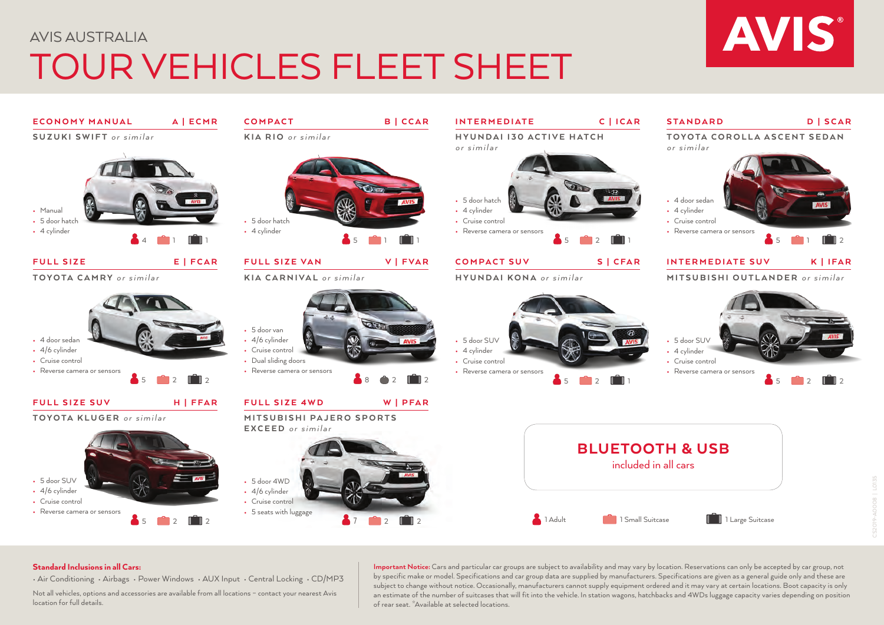# AVIS Australia TOUR Vehicles Fleet Sheet



CS2019-A0008 | L0135

| <b>ECONOMY MANUAL</b>                                                                                      | A   ECMR       | <b>COMPACT</b>                                                                                                  | <b>B</b>   CCAR              | <b>INTERMEDIATE</b>                                                                                  | C   ICAR                                           | <b>STANDARD</b>                                                                                       | D   SCAR |
|------------------------------------------------------------------------------------------------------------|----------------|-----------------------------------------------------------------------------------------------------------------|------------------------------|------------------------------------------------------------------------------------------------------|----------------------------------------------------|-------------------------------------------------------------------------------------------------------|----------|
| <b>SUZUKI SWIFT</b> or similar                                                                             |                | KIA RIO or similar                                                                                              |                              | HYUNDAI I30 ACTIVE HATCH<br>or similar                                                               |                                                    | TOYOTA COROLLA ASCENT SEDAN<br>or similar                                                             |          |
| • Manual<br>• 5 door hatch<br>• 4 cylinder                                                                 |                | • 5 door hatch<br>$\cdot$ 4 cylinder                                                                            |                              | • 5 door hatch<br>• 4 cylinder<br>• Cruise control<br>• Reverse camera or sensors                    |                                                    | • 4 door sedan<br>• 4 cylinder<br>• Cruise control<br>• Reverse camera or sensors<br>$\blacksquare$ 5 |          |
| <b>FULL SIZE</b><br>TOYOTA CAMRY or similar                                                                | E   FCAR       | <b>FULL SIZE VAN</b><br><b>KIA CARNIVAL</b> or similar                                                          | V   FVAR                     | <b>COMPACT SUV</b><br><b>HYUNDAI KONA</b> or similar                                                 | S   CFAR                                           | <b>INTERMEDIATE SUV</b><br>MITSUBISHI QUTLANDER or similar                                            | K   IFAR |
| • 4 door sedan<br>$\cdot$ 4/6 cylinder<br>• Cruise control<br>• Reverse camera or sensors<br>$\frac{2}{5}$ | $\overline{2}$ | $\cdot$ 5 door van<br>$4/6$ cylinder<br>• Cruise control<br>• Dual sliding doors<br>• Reverse camera or sensors | <b>A</b> 8<br>$^{\bullet}$ 2 | • 5 door SUV<br>$\cdot$ 4 cylinder<br>• Cruise control<br>• Reverse camera or sensors<br><b>15</b> 5 | $\begin{bmatrix} 1 \\ 2 \end{bmatrix}$ 2           | • 5 door SUV<br>• 4 cylinder<br>• Cruise control<br>• Reverse camera or sensors                       |          |
| <b>FULL SIZE SUV</b><br><b>TOYOTA KLUGER</b> or similar                                                    | H   FFAR       | <b>FULL SIZE 4WD</b><br>MITSUBISHI PAJERO SPORTS<br><b>EXCEED</b> or similar                                    | W   PFAR                     |                                                                                                      |                                                    |                                                                                                       |          |
| • 5 door SUV<br>$\cdot$ 4/6 cylinder                                                                       |                | • 5 door 4WD<br>$\cdot$ 4/6 cylinder                                                                            |                              |                                                                                                      | <b>BLUETOOTH &amp; USB</b><br>included in all cars |                                                                                                       |          |
| • Cruise control<br>• Reverse camera or sensors                                                            |                | • Cruise control<br>• 5 seats with luggage                                                                      |                              | 1 Adult                                                                                              | 1 Small Suitcase                                   | 1 Large Suitcase                                                                                      |          |

#### Standard Inclusionsin all Cars:

• Air Conditioning • Airbags • Power Windows • AUX Input • Central Locking • CD/MP3

Not all vehicles, options and accessories are available from all locations – contact your nearest Avis location for full details.

**Important Notice:** Cars and particular car groups are subject to availability and may vary by location. Reservations can only be accepted by car group, not by specific make or model. Specifications and car group data are supplied by manufacturers. Specifications are given as a general guide only and these are subject to change without notice. Occasionally, manufacturers cannot supply equipment ordered and it may vary at certain locations. Boot capacity is only an estimate of the number of suitcases that will fit into the vehicle. In station wagons, hatchbacks and 4WDs luggage capacity varies depending on position of rear seat. \*Available at selected locations.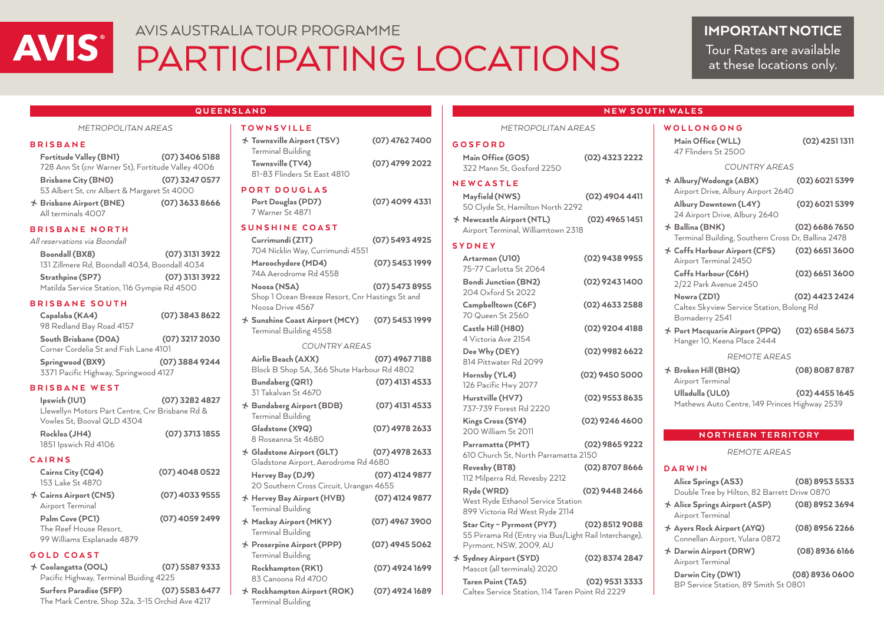## AVIS Australia TOUR PROGRAMME **AVIS** PARTICIPATING LOCATIONS

### **IMPORTANT NOTICE**

Tour Rates are available at these locations only.

#### QUEENS LAND NEW SOUTH WALES AND LOCATED AT A CHARGE OF THE SAME OF THE SAME OF THE SAME OF THE SAME OF THE SAME OF THE SAME OF THE SAME OF THE SAME OF THE SAME OF THE SAME OF THE SAME OF THE SAME OF THE SAME OF THE SAME OF

#### METROPOLITAN AREAS

#### **BRISBANE**

| Fortitude Valley (BN1)                            | (07) 3406 5188 |
|---------------------------------------------------|----------------|
| 728 Ann St (cnr Warner St), Fortitude Valley 4006 |                |
| <b>Brisbane City (BNO)</b>                        | (07) 3247 0577 |
| 53 Albert St, cnr Albert & Margaret St 4000       |                |
| <b>★ Brisbane Airport (BNE)</b>                   | (07) 3633 8666 |
| All terminals 4007                                |                |

#### BRISBANE NORTH

| All reservations via Boondall                 |                |
|-----------------------------------------------|----------------|
| Boondall (BX8)                                | (07) 3131 3922 |
| 131 Zillmere Rd, Boondall 4034, Boondall 4034 |                |
| Strathpine (SP7)                              | (07) 3131 3922 |
| Matilda Service Station. 116 Gympie Rd 4500   |                |

#### BRISBANE SOUTH

| Capalaba (KA4)<br>98 Redland Bay Road 4157                                                                                              | (07) 3843 8622                     |
|-----------------------------------------------------------------------------------------------------------------------------------------|------------------------------------|
| South Brisbane (DOA)<br>Corner Cordelia St and Fish Lane 4101                                                                           | (07) 3217 2030                     |
| Springwood (BX9)<br>3371 Pacific Highway, Springwood 4127                                                                               | (07) 3884 9244                     |
| <b>BRISBANE WEST</b>                                                                                                                    |                                    |
| Ipswich (IUT)<br>Llewellyn Motors Part Centre, Cnr Brisbane Rd &<br>Vowles St, Booval QLD 4304<br>Rocklea (JH4)<br>1851 Ipswich Rd 4106 | (07) 3282 4827<br>$(07)$ 3713 1855 |
| CAIRNS                                                                                                                                  |                                    |
| Cairns City (CQ4)<br>153 Lake St 4870                                                                                                   | (07) 4048 0522                     |
| <b>★ Cairns Airport (CNS)</b><br>Airport Terminal                                                                                       | (07) 4033 9555                     |
| Palm Cove (PC1)<br>The Reef House Resort,<br>99 Williams Esplanade 4879                                                                 | (07) 4059 2499                     |
| <b>GOLD COAST</b>                                                                                                                       |                                    |

#### GOLD COAST

| <b>★ Coolangatta (OOL)</b>                      | (07) 5587 9333 |
|-------------------------------------------------|----------------|
| Pacific Highway, Terminal Buiding 4225          |                |
| <b>Surfers Paradise (SFP)</b>                   | (07) 5583 6477 |
| The Mark Centre, Shop 32a, 3-15 Orchid Ave 4217 |                |

| <b>TOWNSVILLE</b><br><b>★ Townsville Airport (TSV)</b><br><b>Terminal Building</b> | (07) 4762 7400 |
|------------------------------------------------------------------------------------|----------------|
| Townsville (TV4)<br>81-83 Flinders St East 4810                                    | (07) 4799 2022 |
| PORT DOUGLAS<br>Port Douglas (PD7)<br>7 Warner St 4871                             | (07) 4099 4331 |
| SUNSHINE COAST                                                                     |                |
| Currimundi (ZIT)<br>704 Nicklin Way, Currimundi 4551                               | (07) 5493 4925 |
| Maroochydore (MD4)<br>74A Aerodrome Rd 4558                                        | (07) 5453 1999 |
| Noosa (NSA)<br>Shop 1 Ocean Breeze Resort, Cnr Hastings St and<br>Noosa Drive 4567 | (07) 5473 8955 |
| Bunshine Coast Airport (MCY)<br>Terminal Building 4558                             | (07) 5453 1999 |
| COUNTRY AREAS                                                                      |                |
|                                                                                    |                |

| Airlie Beach (AXX)<br>Block B Shop 5A, 366 Shute Harbour Rd 4802         | $(07)$ 4967 7188 |
|--------------------------------------------------------------------------|------------------|
| Bundaberg (QR1)<br>31 Takalvan St 4670                                   | $(07)$ 4131 4533 |
| Bundaberg Airport (BDB)<br><b>Terminal Building</b>                      | (07) 4131 4533   |
| Gladstone (X9Q)<br>8 Roseanna St 4680                                    | (07) 4978 2633   |
| <b>★ Gladstone Airport (GLT)</b><br>Gladstone Airport, Aerodrome Rd 4680 | (07) 4978 2633   |
| Hervey Bay (DJ9)<br>20 Southern Cross Circuit, Urangan 4655              | $(07)$ 4124 9877 |
| ↑ Hervey Bay Airport (HVB)<br><b>Terminal Building</b>                   | $(07)$ 4124 9877 |
| ★ Mackay Airport (MKY)<br><b>Terminal Building</b>                       | (07) 4967 3900   |
| ↑ Proserpine Airport (PPP)<br><b>Terminal Building</b>                   | $(07)$ 4945 5062 |
| Rockhampton (RK1)<br>83 Canoona Rd 4700                                  | (07) 4924 1699   |
| $\star$ Rockhampton Airport (ROK)                                        | (07) 4924 1689   |

Terminal Building

#### METROPOLITAN AREAS

#### **GOSFORD**

Main Office (GOS) (02) 4323 2222 322 Mann St, Gosford 2250

#### NEWCASTLE

| Mayfield (NWS)<br>50 Clyde St, Hamilton North 2292                                                           | (02) 4904 4411   |
|--------------------------------------------------------------------------------------------------------------|------------------|
| ↑ Newcastle Airport (NTL)<br>Airport Terminal, Williamtown 2318                                              | $(02)$ 4965 1451 |
| SYDNEY                                                                                                       |                  |
| Artarmon (U10)<br>75-77 Carlotta St 2064                                                                     | (02) 9438 9955   |
| <b>Bondi Junction (BN2)</b><br>204 Oxford St 2022                                                            | (02) 9243 1400   |
| Campbelltown (C6F)<br>70 Queen St 2560                                                                       | (02) 4633 2588   |
| Castle Hill (H80)<br>4 Victoria Ave 2154                                                                     | (02) 9204 4188   |
| Dee Why (DEY)<br>814 Pittwater Rd 2099                                                                       | $(02)$ 9982 6622 |
| Hornsby (YL4)<br>126 Pacific Hwy 2077                                                                        | $(02)$ 9450 5000 |
| Hurstville (HV7)<br>737-739 Forest Rd 2220                                                                   | $(02)$ 9553 8635 |
| Kings Cross (SY4)<br>200 William St 2011                                                                     | $(02)$ 9246 4600 |
| Parramatta (PMT)<br>610 Church St, North Parramatta 2150                                                     | (02) 9865 9222   |
| Revesby (BT8)<br>112 Milperra Rd, Revesby 2212                                                               | (02) 8707 8666   |
| Ryde (WRD)<br>West Ryde Ethanol Service Station<br>899 Victoria Rd West Ryde 2114                            | (02) 9448 2466   |
| Star City – Pyrmont (PY7)<br>55 Pirrama Rd (Entry via Bus/Light Rail Interchange),<br>Pyrmont, NSW, 2009, AU | $(02)$ 8512 9088 |
| ★ Sydney Airport (SYD)<br>Mascot (all terminals) 2020                                                        | (02) 8374 2847   |
| Taren Point (TA5)                                                                                            | $(02)$ 9531 3333 |

Caltex Service Station, 114 Taren Point Rd 2229

#### 47 Flinders St 2500 COUNTRY AREAS  $\rightarrow$  Albury/Wodonga (ABX) (02) 6021 5399

Airport Drive, Albury Airport 2640

Main Office (WLL) (02) 4251 1311

WOLLONGONG

| Albury Downtown (L4Y)<br>24 Airport Drive, Albury 2640                     | (02) 6021 5399   |
|----------------------------------------------------------------------------|------------------|
| ★ Ballina (BNK)<br>Terminal Building, Southern Cross Dr, Ballina 2478      | (02) 6686 7650   |
| B Coffs Harbour Airport (CFS)<br>Airport Terminal 2450                     | $(02)$ 6651 3600 |
| Coffs Harbour (C6H)<br>2/22 Park Avenue 2450                               | $(02)$ 6651 3600 |
| Nowra (ZD1)<br>Caltex Skyview Service Station, Bolong Rd<br>Bomaderry 2541 | (02) 4423 2424   |
| ↑ Port Macquarie Airport (PPQ)<br>Hanger 10, Keena Place 2444              | (02) 6584 5673   |
| REMOTE AREAS                                                               |                  |
| ★ Broken Hill (BHQ)<br>Airport Terminal                                    | (08) 8087 8787   |
| Ulladulla (ULO)                                                            | (02) 4455 1645   |

#### **NORTHERN TERRITORY**

Mathews Auto Centre, 149 Princes Highway 2539

#### REMOTE AREAS

#### **DARWIN**

| Alice Springs (AS3)<br>Double Tree by Hilton, 82 Barrett Drive 0870 | (08) 8953 5533 |
|---------------------------------------------------------------------|----------------|
| Alice Springs Airport (ASP)<br>Airport Terminal                     | (08) 8952 3694 |
| <b>★ Ayers Rock Airport (AYQ)</b><br>Connellan Airport, Yulara 0872 | (08) 8956 2266 |
| <b>↑ Darwin Airport (DRW)</b><br>Airport Terminal                   | (08) 8936 6166 |
| Darwin City (DW1)<br>BP Service Station, 89 Smith St 0801           | (08) 8936 0600 |